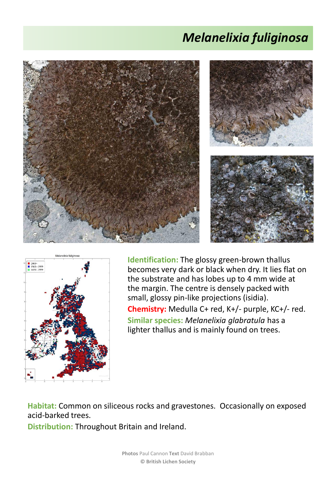## *Melanelixia fuliginosa*





**Identification:** The glossy green-brown thallus becomes very dark or black when dry. It lies flat on the substrate and has lobes up to 4 mm wide at the margin. The centre is densely packed with small, glossy pin-like projections (isidia). **Chemistry:** Medulla C+ red, K+/- purple, KC+/- red. **Similar species:** *Melanelixia glabratula* has a lighter thallus and is mainly found on trees.

**Habitat:** Common on siliceous rocks and gravestones. Occasionally on exposed acid-barked trees.

**Distribution:** Throughout Britain and Ireland.